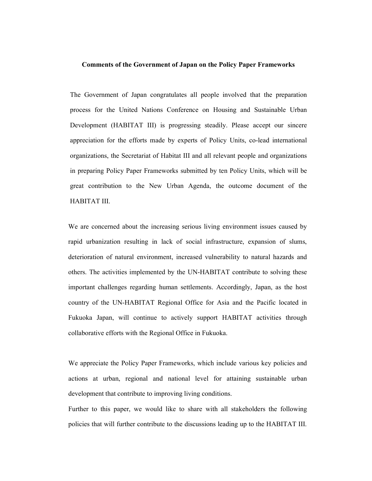#### Comments of the Government of Japan on the Policy Paper Frameworks

The Government of Japan congratulates all people involved that the preparation process for the United Nations Conference on Housing and Sustainable Urban Development (HABITAT III) is progressing steadily. Please accept our sincere appreciation for the efforts made by experts of Policy Units, co-lead international organizations, the Secretariat of Habitat III and all relevant people and organizations in preparing Policy Paper Frameworks submitted by ten Policy Units, which will be great contribution to the New Urban Agenda, the outcome document of the HABITAT III.

We are concerned about the increasing serious living environment issues caused by rapid urbanization resulting in lack of social infrastructure, expansion of slums, deterioration of natural environment, increased vulnerability to natural hazards and others. The activities implemented by the UN-HABITAT contribute to solving these important challenges regarding human settlements. Accordingly, Japan, as the host country of the UN-HABITAT Regional Office for Asia and the Pacific located in Fukuoka Japan, will continue to actively support HABITAT activities through collaborative efforts with the Regional Office in Fukuoka.

We appreciate the Policy Paper Frameworks, which include various key policies and actions at urban, regional and national level for attaining sustainable urban development that contribute to improving living conditions.

Further to this paper, we would like to share with all stakeholders the following policies that will further contribute to the discussions leading up to the HABITAT III.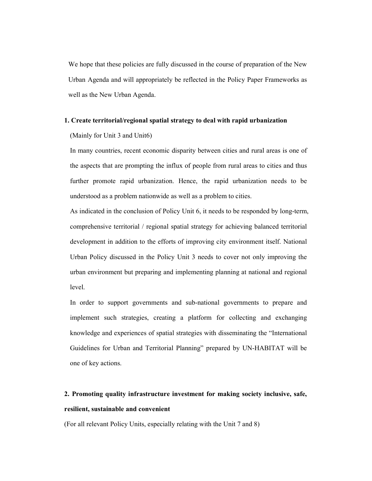We hope that these policies are fully discussed in the course of preparation of the New Urban Agenda and will appropriately be reflected in the Policy Paper Frameworks as well as the New Urban Agenda.

## 1. Create territorial/regional spatial strategy to deal with rapid urbanization

(Mainly for Unit 3 and Unit6)

In many countries, recent economic disparity between cities and rural areas is one of the aspects that are prompting the influx of people from rural areas to cities and thus further promote rapid urbanization. Hence, the rapid urbanization needs to be understood as a problem nationwide as well as a problem to cities.

As indicated in the conclusion of Policy Unit 6, it needs to be responded by long-term, comprehensive territorial / regional spatial strategy for achieving balanced territorial development in addition to the efforts of improving city environment itself. National Urban Policy discussed in the Policy Unit 3 needs to cover not only improving the urban environment but preparing and implementing planning at national and regional level.

In order to support governments and sub-national governments to prepare and implement such strategies, creating a platform for collecting and exchanging knowledge and experiences of spatial strategies with disseminating the "International Guidelines for Urban and Territorial Planning" prepared by UN-HABITAT will be one of key actions.

# 2. Promoting quality infrastructure investment for making society inclusive, safe, resilient, sustainable and convenient

(For all relevant Policy Units, especially relating with the Unit 7 and 8)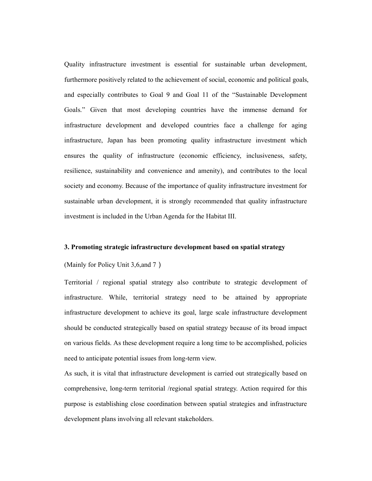Quality infrastructure investment is essential for sustainable urban development, furthermore positively related to the achievement of social, economic and political goals, and especially contributes to Goal 9 and Goal 11 of the "Sustainable Development Goals." Given that most developing countries have the immense demand for infrastructure development and developed countries face a challenge for aging infrastructure, Japan has been promoting quality infrastructure investment which ensures the quality of infrastructure (economic efficiency, inclusiveness, safety, resilience, sustainability and convenience and amenity), and contributes to the local society and economy. Because of the importance of quality infrastructure investment for sustainable urban development, it is strongly recommended that quality infrastructure investment is included in the Urban Agenda for the Habitat III.

### 3. Promoting strategic infrastructure development based on spatial strategy

(Mainly for Policy Unit 3,6, and 7)

Territorial / regional spatial strategy also contribute to strategic development of infrastructure. While, territorial strategy need to be attained by appropriate infrastructure development to achieve its goal, large scale infrastructure development should be conducted strategically based on spatial strategy because of its broad impact on various fields. As these development require a long time to be accomplished, policies need to anticipate potential issues from long-term view.

As such, it is vital that infrastructure development is carried out strategically based on comprehensive, long-term territorial /regional spatial strategy. Action required for this purpose is establishing close coordination between spatial strategies and infrastructure development plans involving all relevant stakeholders.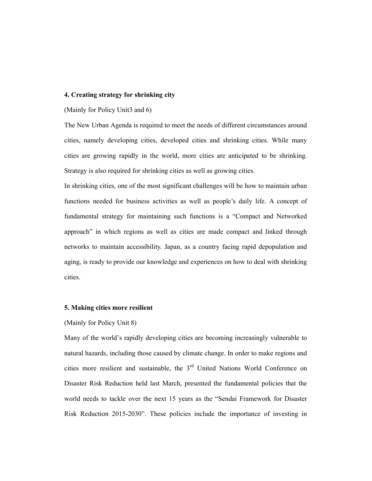### 4. Creating strategy for shrinking city

## (Mainly for Policy Unit3 and 6)

The New Urban Agenda is required to meet the needs of different circumstances around cities, namely developing cities, developed cities and shrinking cities. While many cities are growing rapidly in the world, more cities are anticipated to be shrinking. Strategy is also required for shrinking cities as well as growing cities.

In shrinking cities, one of the most significant challenges will be how to maintain urban functions needed for business activities as well as people's daily life. A concept of fundamental strategy for maintaining such functions is a "Compact and Networked approach" in which regions as well as cities are made compact and linked through networks to maintain accessibility. Japan, as a country facing rapid depopulation and aging, is ready to provide our knowledge and experiences on how to deal with shrinking cities.

### 5. Making cities more resilient

### (Mainly for Policy Unit 8)

Many of the world's rapidly developing cities are becoming increasingly vulnerable to natural hazards, including those caused by climate change. In order to make regions and cities more resilient and sustainable, the  $3<sup>rd</sup>$  United Nations World Conference on Disaster Risk Reduction held last March, presented the fundamental policies that the world needs to tackle over the next 15 years as the "Sendai Framework for Disaster Risk Reduction 2015-2030". These policies include the importance of investing in